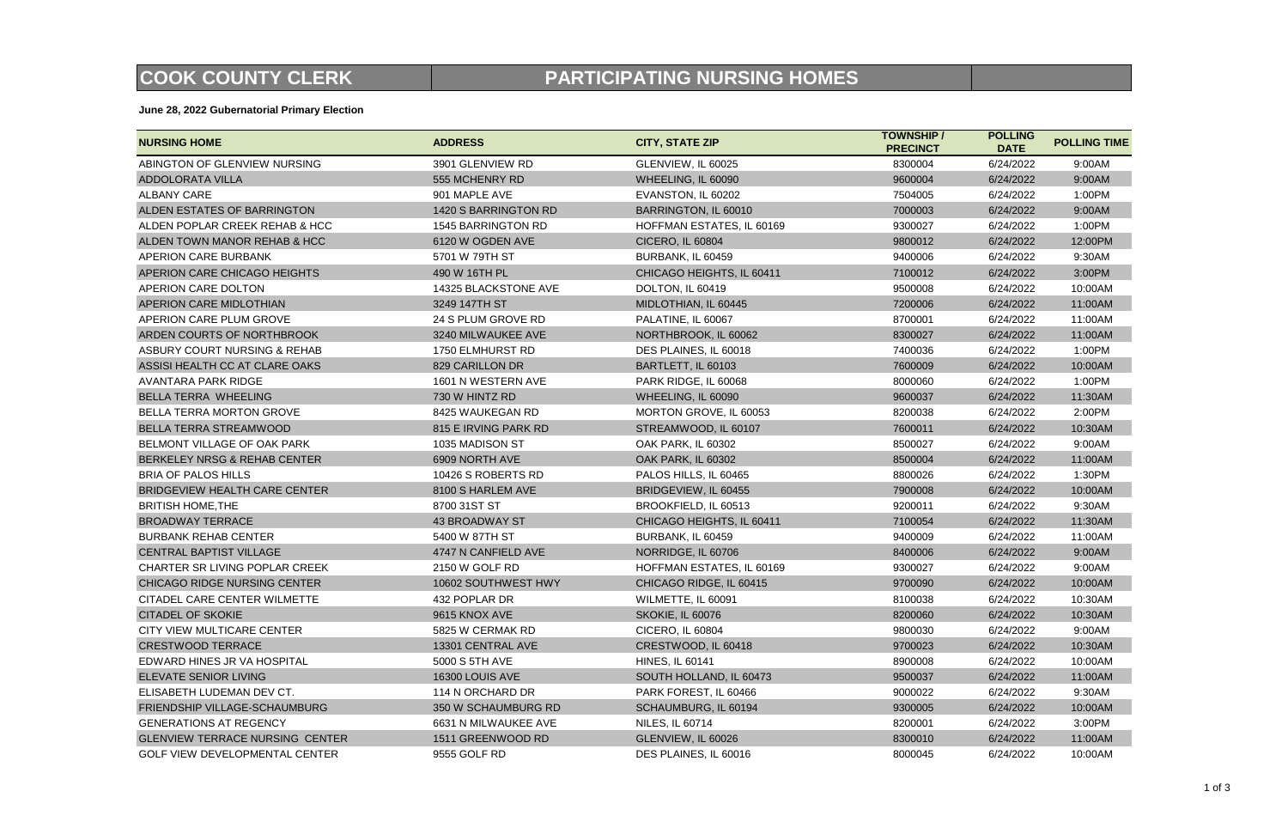**June 28, 2022 Gubernatorial Primary Election**

| <b>NURSING HOME</b>                    | <b>ADDRESS</b>        | <b>CITY, STATE ZIP</b>    | <b>TOWNSHIP /</b><br><b>PRECINCT</b> | <b>POLLING</b><br><b>DATE</b> | <b>POLLING TI</b> |
|----------------------------------------|-----------------------|---------------------------|--------------------------------------|-------------------------------|-------------------|
| ABINGTON OF GLENVIEW NURSING           | 3901 GLENVIEW RD      | GLENVIEW, IL 60025        | 8300004                              | 6/24/2022                     | 9:00AM            |
| <b>ADDOLORATA VILLA</b>                | 555 MCHENRY RD        | WHEELING, IL 60090        | 9600004                              | 6/24/2022                     | 9:00AM            |
| <b>ALBANY CARE</b>                     | 901 MAPLE AVE         | EVANSTON, IL 60202        | 7504005                              | 6/24/2022                     | 1:00PM            |
| ALDEN ESTATES OF BARRINGTON            | 1420 S BARRINGTON RD  | BARRINGTON, IL 60010      | 7000003                              | 6/24/2022                     | 9:00AM            |
| ALDEN POPLAR CREEK REHAB & HCC         | 1545 BARRINGTON RD    | HOFFMAN ESTATES, IL 60169 | 9300027                              | 6/24/2022                     | 1:00PM            |
| ALDEN TOWN MANOR REHAB & HCC           | 6120 W OGDEN AVE      | <b>CICERO, IL 60804</b>   | 9800012                              | 6/24/2022                     | 12:00PM           |
| APERION CARE BURBANK                   | 5701 W 79TH ST        | BURBANK, IL 60459         | 9400006                              | 6/24/2022                     | 9:30AM            |
| APERION CARE CHICAGO HEIGHTS           | 490 W 16TH PL         | CHICAGO HEIGHTS, IL 60411 | 7100012                              | 6/24/2022                     | 3:00PM            |
| APERION CARE DOLTON                    | 14325 BLACKSTONE AVE  | DOLTON, IL 60419          | 9500008                              | 6/24/2022                     | 10:00AM           |
| APERION CARE MIDLOTHIAN                | 3249 147TH ST         | MIDLOTHIAN, IL 60445      | 7200006                              | 6/24/2022                     | 11:00AM           |
| APERION CARE PLUM GROVE                | 24 S PLUM GROVE RD    | PALATINE, IL 60067        | 8700001                              | 6/24/2022                     | 11:00AM           |
| ARDEN COURTS OF NORTHBROOK             | 3240 MILWAUKEE AVE    | NORTHBROOK, IL 60062      | 8300027                              | 6/24/2022                     | 11:00AM           |
| ASBURY COURT NURSING & REHAB           | 1750 ELMHURST RD      | DES PLAINES, IL 60018     | 7400036                              | 6/24/2022                     | 1:00PM            |
| ASSISI HEALTH CC AT CLARE OAKS         | 829 CARILLON DR       | BARTLETT, IL 60103        | 7600009                              | 6/24/2022                     | 10:00AM           |
| <b>AVANTARA PARK RIDGE</b>             | 1601 N WESTERN AVE    | PARK RIDGE, IL 60068      | 8000060                              | 6/24/2022                     | 1:00PM            |
| <b>BELLA TERRA WHEELING</b>            | 730 W HINTZ RD        | WHEELING, IL 60090        | 9600037                              | 6/24/2022                     | 11:30AM           |
| BELLA TERRA MORTON GROVE               | 8425 WAUKEGAN RD      | MORTON GROVE, IL 60053    | 8200038                              | 6/24/2022                     | 2:00PM            |
| BELLA TERRA STREAMWOOD                 | 815 E IRVING PARK RD  | STREAMWOOD, IL 60107      | 7600011                              | 6/24/2022                     | 10:30AM           |
| BELMONT VILLAGE OF OAK PARK            | 1035 MADISON ST       | <b>OAK PARK, IL 60302</b> | 8500027                              | 6/24/2022                     | 9:00AM            |
| BERKELEY NRSG & REHAB CENTER           | 6909 NORTH AVE        | <b>OAK PARK, IL 60302</b> | 8500004                              | 6/24/2022                     | 11:00AM           |
| <b>BRIA OF PALOS HILLS</b>             | 10426 S ROBERTS RD    | PALOS HILLS, IL 60465     | 8800026                              | 6/24/2022                     | 1:30PM            |
| <b>BRIDGEVIEW HEALTH CARE CENTER</b>   | 8100 S HARLEM AVE     | BRIDGEVIEW, IL 60455      | 7900008                              | 6/24/2022                     | 10:00AM           |
| <b>BRITISH HOME, THE</b>               | 8700 31ST ST          | BROOKFIELD, IL 60513      | 9200011                              | 6/24/2022                     | 9:30AM            |
| <b>BROADWAY TERRACE</b>                | <b>43 BROADWAY ST</b> | CHICAGO HEIGHTS, IL 60411 | 7100054                              | 6/24/2022                     | 11:30AM           |
| <b>BURBANK REHAB CENTER</b>            | 5400 W 87TH ST        | BURBANK, IL 60459         | 9400009                              | 6/24/2022                     | 11:00AM           |
| <b>CENTRAL BAPTIST VILLAGE</b>         | 4747 N CANFIELD AVE   | NORRIDGE, IL 60706        | 8400006                              | 6/24/2022                     | 9:00AM            |
| CHARTER SR LIVING POPLAR CREEK         | 2150 W GOLF RD        | HOFFMAN ESTATES, IL 60169 | 9300027                              | 6/24/2022                     | 9:00AM            |
| CHICAGO RIDGE NURSING CENTER           | 10602 SOUTHWEST HWY   | CHICAGO RIDGE, IL 60415   | 9700090                              | 6/24/2022                     | 10:00AM           |
| CITADEL CARE CENTER WILMETTE           | 432 POPLAR DR         | WILMETTE, IL 60091        | 8100038                              | 6/24/2022                     | 10:30AM           |
| <b>CITADEL OF SKOKIE</b>               | 9615 KNOX AVE         | SKOKIE, IL 60076          | 8200060                              | 6/24/2022                     | 10:30AM           |
| CITY VIEW MULTICARE CENTER             | 5825 W CERMAK RD      | <b>CICERO, IL 60804</b>   | 9800030                              | 6/24/2022                     | 9:00AM            |
| <b>CRESTWOOD TERRACE</b>               | 13301 CENTRAL AVE     | CRESTWOOD, IL 60418       | 9700023                              | 6/24/2022                     | 10:30AM           |
| EDWARD HINES JR VA HOSPITAL            | 5000 S 5TH AVE        | <b>HINES, IL 60141</b>    | 8900008                              | 6/24/2022                     | 10:00AM           |
| <b>ELEVATE SENIOR LIVING</b>           | 16300 LOUIS AVE       | SOUTH HOLLAND, IL 60473   | 9500037                              | 6/24/2022                     | 11:00AM           |
| ELISABETH LUDEMAN DEV CT.              | 114 N ORCHARD DR      | PARK FOREST, IL 60466     | 9000022                              | 6/24/2022                     | 9:30AM            |
| FRIENDSHIP VILLAGE-SCHAUMBURG          | 350 W SCHAUMBURG RD   | SCHAUMBURG, IL 60194      | 9300005                              | 6/24/2022                     | 10:00AM           |
| <b>GENERATIONS AT REGENCY</b>          | 6631 N MILWAUKEE AVE  | <b>NILES, IL 60714</b>    | 8200001                              | 6/24/2022                     | 3:00PM            |
| <b>GLENVIEW TERRACE NURSING CENTER</b> | 1511 GREENWOOD RD     | GLENVIEW, IL 60026        | 8300010                              | 6/24/2022                     | 11:00AM           |
| <b>GOLF VIEW DEVELOPMENTAL CENTER</b>  | 9555 GOLF RD          | DES PLAINES, IL 60016     | 8000045                              | 6/24/2022                     | 10:00AM           |

## **COOK COUNTY CLERK PARTICIPATING NURSING HOMES**

| <b>TOWNSHIP/</b> | <b>POLLING</b> | <b>POLLING TIME</b> |
|------------------|----------------|---------------------|
| <b>PRECINCT</b>  | <b>DATE</b>    |                     |
| 8300004          | 6/24/2022      | 9:00AM              |
| 9600004          | 6/24/2022      | 9:00AM              |
| 7504005          | 6/24/2022      | 1:00PM              |
| 7000003          | 6/24/2022      | 9:00AM              |
| 9300027          | 6/24/2022      | 1:00PM              |
| 9800012          | 6/24/2022      | 12:00PM             |
| 9400006          | 6/24/2022      | 9:30AM              |
| 7100012          | 6/24/2022      | 3:00PM              |
| 9500008          | 6/24/2022      | 10:00AM             |
| 7200006          | 6/24/2022      | 11:00AM             |
| 8700001          | 6/24/2022      | 11:00AM             |
| 8300027          | 6/24/2022      | 11:00AM             |
| 7400036          | 6/24/2022      | 1:00PM              |
| 7600009          | 6/24/2022      | 10:00AM             |
| 8000060          | 6/24/2022      | 1:00PM              |
| 9600037          | 6/24/2022      | 11:30AM             |
| 8200038          | 6/24/2022      | 2:00PM              |
| 7600011          | 6/24/2022      | 10:30AM             |
| 8500027          | 6/24/2022      | 9:00AM              |
| 8500004          | 6/24/2022      | 11:00AM             |
| 8800026          | 6/24/2022      | 1:30PM              |
| 7900008          | 6/24/2022      | 10:00AM             |
| 9200011          | 6/24/2022      | 9:30AM              |
| 7100054          | 6/24/2022      | 11:30AM             |
| 9400009          | 6/24/2022      | 11:00AM             |
| 8400006          | 6/24/2022      | 9:00AM              |
| 9300027          | 6/24/2022      | 9:00AM              |
| 9700090          | 6/24/2022      | 10:00AM             |
| 8100038          | 6/24/2022      | 10:30AM             |
| 8200060          | 6/24/2022      | 10:30AM             |
| 9800030          | 6/24/2022      | 9:00AM              |
| 9700023          | 6/24/2022      | 10:30AM             |
| 8900008          | 6/24/2022      | 10:00AM             |
| 9500037          | 6/24/2022      | 11:00AM             |
| 9000022          | 6/24/2022      | 9:30AM              |
| 9300005          | 6/24/2022      | 10:00AM             |
| 8200001          | 6/24/2022      | 3:00PM              |
| 8300010          | 6/24/2022      | 11:00AM             |
| 8000045          | 6/24/2022      | 10:00AM             |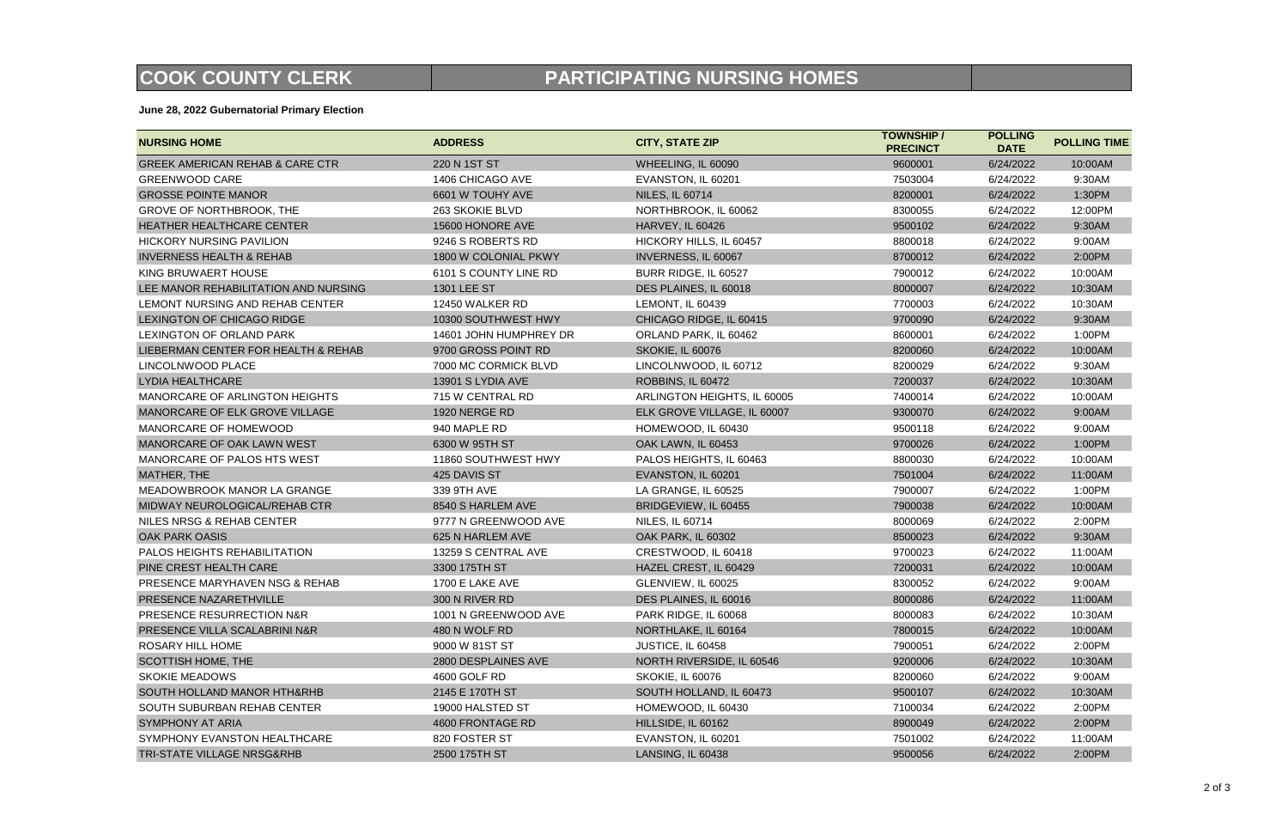**June 28, 2022 Gubernatorial Primary Election**

## **COOK COUNTY CLERK PARTICIPATING NURSING HOMES**

| <b>TOWNSHIP</b> /<br><b>PRECINCT</b> | <b>POLLING</b><br><b>DATE</b> | <b>POLLING TIME</b> |
|--------------------------------------|-------------------------------|---------------------|
| 9600001                              | 6/24/2022                     | 10:00AM             |
| 7503004                              | 6/24/2022                     | 9:30AM              |
| 8200001                              | 6/24/2022                     | 1:30PM              |
| 8300055                              | 6/24/2022                     | 12:00PM             |
| 9500102                              | 6/24/2022                     | 9:30AM              |
| 8800018                              | 6/24/2022                     | 9:00AM              |
| 8700012                              | 6/24/2022                     | 2:00PM              |
| 7900012                              | 6/24/2022                     | 10:00AM             |
| 8000007                              | 6/24/2022                     | 10:30AM             |
| 7700003                              | 6/24/2022                     | 10:30AM             |
| 9700090                              | 6/24/2022                     | 9:30AM              |
| 8600001                              | 6/24/2022                     | 1:00PM              |
| 8200060                              | 6/24/2022                     | 10:00AM             |
| 8200029                              | 6/24/2022                     | 9:30AM              |
| 7200037                              | 6/24/2022                     | 10:30AM             |
| 7400014                              | 6/24/2022                     | 10:00AM             |
| 9300070                              | 6/24/2022                     | 9:00AM              |
| 9500118                              | 6/24/2022                     | 9:00AM              |
| 9700026                              | 6/24/2022                     | 1:00PM              |
| 8800030                              | 6/24/2022                     | 10:00AM             |
| 7501004                              | 6/24/2022                     | 11:00AM             |
| 7900007                              | 6/24/2022                     | 1:00PM              |
| 7900038                              | 6/24/2022                     | 10:00AM             |
| 8000069                              | 6/24/2022                     | 2:00PM              |
| 8500023                              | 6/24/2022                     | 9:30AM              |
| 9700023                              | 6/24/2022                     | 11:00AM             |
| 7200031                              | 6/24/2022                     | 10:00AM             |
| 8300052                              | 6/24/2022                     | 9:00AM              |
| 8000086                              | 6/24/2022                     | 11:00AM             |
| 8000083                              | 6/24/2022                     | 10:30AM             |
| 7800015                              | 6/24/2022                     | 10:00AM             |
| 7900051                              | 6/24/2022                     | 2:00PM              |
| 9200006                              | 6/24/2022                     | 10:30AM             |
| 8200060                              | 6/24/2022                     | 9:00AM              |
| 9500107                              | 6/24/2022                     | 10:30AM             |
| 7100034                              | 6/24/2022                     | 2:00PM              |
| 8900049                              | 6/24/2022                     | 2:00PM              |
| 7501002                              | 6/24/2022                     | 11:00AM             |
| 9500056                              | 6/24/2022                     | 2:00PM              |

| <b>NURSING HOME</b>                        | <b>ADDRESS</b>         | <b>CITY, STATE ZIP</b>      | <b>TOWNSHIP /</b><br><b>PRECINCT</b> | <b>POLLING</b><br><b>DATE</b> | <b>POLLING TI</b> |
|--------------------------------------------|------------------------|-----------------------------|--------------------------------------|-------------------------------|-------------------|
| <b>GREEK AMERICAN REHAB &amp; CARE CTR</b> | 220 N 1ST ST           | WHEELING, IL 60090          | 9600001                              | 6/24/2022                     | 10:00AM           |
| <b>GREENWOOD CARE</b>                      | 1406 CHICAGO AVE       | EVANSTON, IL 60201          | 7503004                              | 6/24/2022                     | 9:30AM            |
| <b>GROSSE POINTE MANOR</b>                 | 6601 W TOUHY AVE       | <b>NILES, IL 60714</b>      | 8200001                              | 6/24/2022                     | 1:30PM            |
| GROVE OF NORTHBROOK, THE                   | 263 SKOKIE BLVD        | NORTHBROOK, IL 60062        | 8300055                              | 6/24/2022                     | 12:00PM           |
| HEATHER HEALTHCARE CENTER                  | 15600 HONORE AVE       | <b>HARVEY, IL 60426</b>     | 9500102                              | 6/24/2022                     | 9:30AM            |
| <b>HICKORY NURSING PAVILION</b>            | 9246 S ROBERTS RD      | HICKORY HILLS, IL 60457     | 8800018                              | 6/24/2022                     | 9:00AM            |
| <b>INVERNESS HEALTH &amp; REHAB</b>        | 1800 W COLONIAL PKWY   | INVERNESS, IL 60067         | 8700012                              | 6/24/2022                     | 2:00PM            |
| KING BRUWAERT HOUSE                        | 6101 S COUNTY LINE RD  | BURR RIDGE, IL 60527        | 7900012                              | 6/24/2022                     | 10:00AM           |
| LEE MANOR REHABILITATION AND NURSING       | 1301 LEE ST            | DES PLAINES, IL 60018       | 8000007                              | 6/24/2022                     | 10:30AM           |
| LEMONT NURSING AND REHAB CENTER            | 12450 WALKER RD        | <b>LEMONT, IL 60439</b>     | 7700003                              | 6/24/2022                     | 10:30AM           |
| LEXINGTON OF CHICAGO RIDGE                 | 10300 SOUTHWEST HWY    | CHICAGO RIDGE, IL 60415     | 9700090                              | 6/24/2022                     | 9:30AM            |
| LEXINGTON OF ORLAND PARK                   | 14601 JOHN HUMPHREY DR | ORLAND PARK, IL 60462       | 8600001                              | 6/24/2022                     | 1:00PM            |
| LIEBERMAN CENTER FOR HEALTH & REHAB        | 9700 GROSS POINT RD    | SKOKIE, IL 60076            | 8200060                              | 6/24/2022                     | 10:00AM           |
| LINCOLNWOOD PLACE                          | 7000 MC CORMICK BLVD   | LINCOLNWOOD, IL 60712       | 8200029                              | 6/24/2022                     | 9:30AM            |
| <b>LYDIA HEALTHCARE</b>                    | 13901 S LYDIA AVE      | ROBBINS, IL 60472           | 7200037                              | 6/24/2022                     | 10:30AM           |
| MANORCARE OF ARLINGTON HEIGHTS             | 715 W CENTRAL RD       | ARLINGTON HEIGHTS, IL 60005 | 7400014                              | 6/24/2022                     | 10:00AM           |
| MANORCARE OF ELK GROVE VILLAGE             | 1920 NERGE RD          | ELK GROVE VILLAGE, IL 60007 | 9300070                              | 6/24/2022                     | 9:00AM            |
| MANORCARE OF HOMEWOOD                      | 940 MAPLE RD           | HOMEWOOD, IL 60430          | 9500118                              | 6/24/2022                     | 9:00AM            |
| MANORCARE OF OAK LAWN WEST                 | 6300 W 95TH ST         | OAK LAWN, IL 60453          | 9700026                              | 6/24/2022                     | 1:00PM            |
| MANORCARE OF PALOS HTS WEST                | 11860 SOUTHWEST HWY    | PALOS HEIGHTS, IL 60463     | 8800030                              | 6/24/2022                     | 10:00AM           |
| MATHER, THE                                | 425 DAVIS ST           | EVANSTON, IL 60201          | 7501004                              | 6/24/2022                     | 11:00AM           |
| MEADOWBROOK MANOR LA GRANGE                | 339 9TH AVE            | LA GRANGE, IL 60525         | 7900007                              | 6/24/2022                     | 1:00PM            |
| MIDWAY NEUROLOGICAL/REHAB CTR              | 8540 S HARLEM AVE      | BRIDGEVIEW, IL 60455        | 7900038                              | 6/24/2022                     | 10:00AM           |
| NILES NRSG & REHAB CENTER                  | 9777 N GREENWOOD AVE   | <b>NILES, IL 60714</b>      | 8000069                              | 6/24/2022                     | 2:00PM            |
| <b>OAK PARK OASIS</b>                      | 625 N HARLEM AVE       | OAK PARK, IL 60302          | 8500023                              | 6/24/2022                     | 9:30AM            |
| PALOS HEIGHTS REHABILITATION               | 13259 S CENTRAL AVE    | CRESTWOOD, IL 60418         | 9700023                              | 6/24/2022                     | 11:00AM           |
| PINE CREST HEALTH CARE                     | 3300 175TH ST          | HAZEL CREST, IL 60429       | 7200031                              | 6/24/2022                     | 10:00AM           |
| PRESENCE MARYHAVEN NSG & REHAB             | 1700 E LAKE AVE        | GLENVIEW, IL 60025          | 8300052                              | 6/24/2022                     | 9:00AM            |
| PRESENCE NAZARETHVILLE                     | 300 N RIVER RD         | DES PLAINES, IL 60016       | 8000086                              | 6/24/2022                     | 11:00AM           |
| PRESENCE RESURRECTION N&R                  | 1001 N GREENWOOD AVE   | PARK RIDGE, IL 60068        | 8000083                              | 6/24/2022                     | 10:30AM           |
| PRESENCE VILLA SCALABRINI N&R              | 480 N WOLF RD          | NORTHLAKE, IL 60164         | 7800015                              | 6/24/2022                     | 10:00AM           |
| <b>ROSARY HILL HOME</b>                    | 9000 W 81ST ST         | JUSTICE, IL 60458           | 7900051                              | 6/24/2022                     | 2:00PM            |
| <b>SCOTTISH HOME, THE</b>                  | 2800 DESPLAINES AVE    | NORTH RIVERSIDE, IL 60546   | 9200006                              | 6/24/2022                     | 10:30AM           |
| <b>SKOKIE MEADOWS</b>                      | 4600 GOLF RD           | SKOKIE, IL 60076            | 8200060                              | 6/24/2022                     | 9:00AM            |
| SOUTH HOLLAND MANOR HTH&RHB                | 2145 E 170TH ST        | SOUTH HOLLAND, IL 60473     | 9500107                              | 6/24/2022                     | 10:30AM           |
| SOUTH SUBURBAN REHAB CENTER                | 19000 HALSTED ST       | HOMEWOOD, IL 60430          | 7100034                              | 6/24/2022                     | 2:00PM            |
| <b>SYMPHONY AT ARIA</b>                    | 4600 FRONTAGE RD       | HILLSIDE, IL 60162          | 8900049                              | 6/24/2022                     | 2:00PM            |
| SYMPHONY EVANSTON HEALTHCARE               | 820 FOSTER ST          | EVANSTON, IL 60201          | 7501002                              | 6/24/2022                     | 11:00AM           |
| TRI-STATE VILLAGE NRSG&RHB                 | 2500 175TH ST          | LANSING, IL 60438           | 9500056                              | 6/24/2022                     | 2:00PM            |